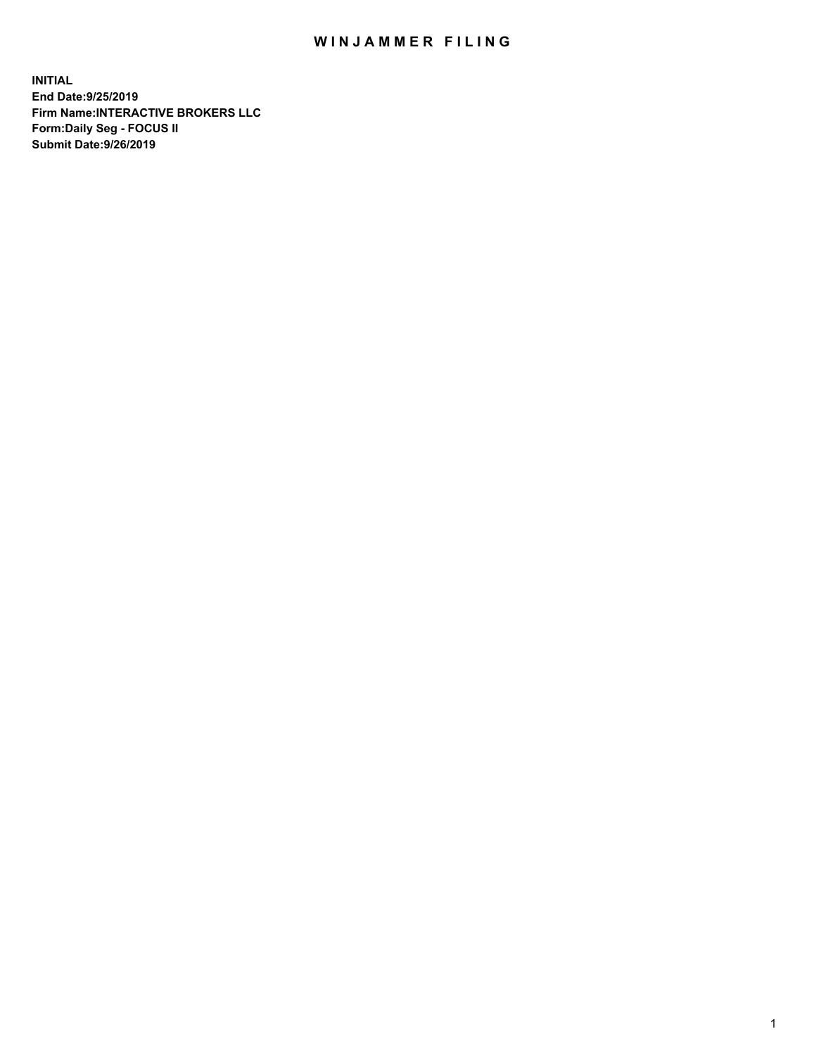## WIN JAMMER FILING

**INITIAL End Date:9/25/2019 Firm Name:INTERACTIVE BROKERS LLC Form:Daily Seg - FOCUS II Submit Date:9/26/2019**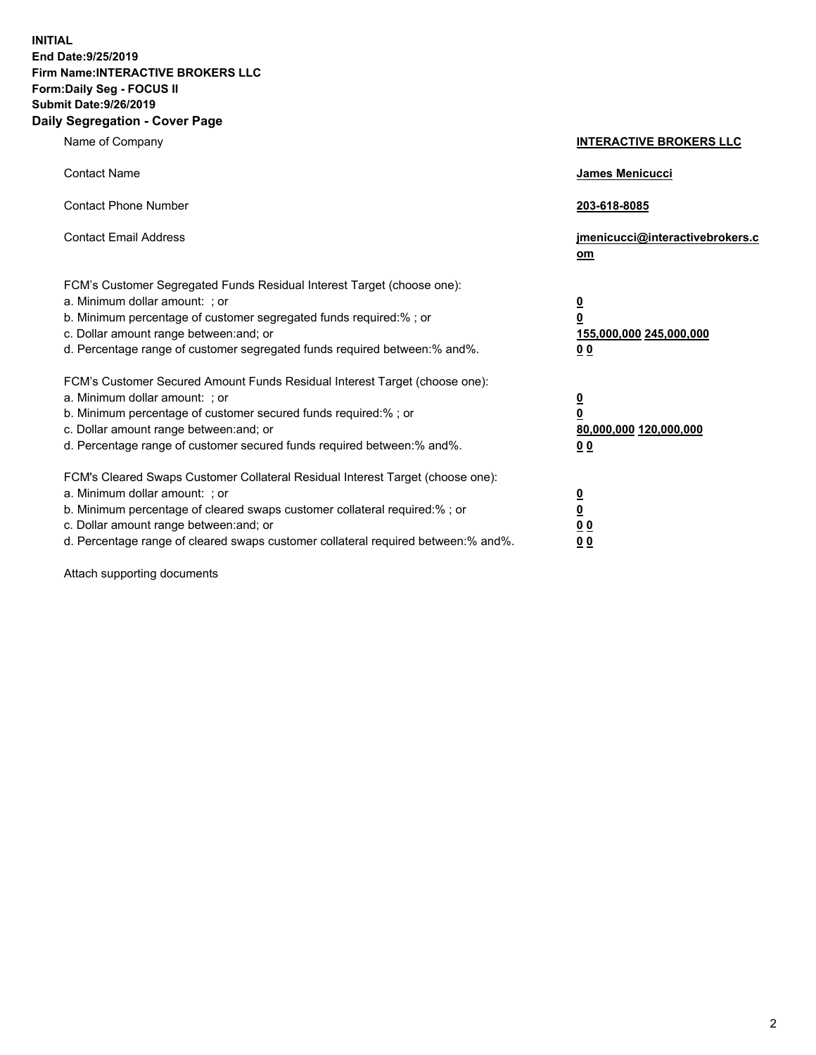**INITIAL End Date:9/25/2019 Firm Name:INTERACTIVE BROKERS LLC Form:Daily Seg - FOCUS II Submit Date:9/26/2019 Daily Segregation - Cover Page**

| Name of Company                                                                                                                                                                                                                                                                                                                | <b>INTERACTIVE BROKERS LLC</b>                                                   |
|--------------------------------------------------------------------------------------------------------------------------------------------------------------------------------------------------------------------------------------------------------------------------------------------------------------------------------|----------------------------------------------------------------------------------|
| <b>Contact Name</b>                                                                                                                                                                                                                                                                                                            | James Menicucci                                                                  |
| <b>Contact Phone Number</b>                                                                                                                                                                                                                                                                                                    | 203-618-8085                                                                     |
| <b>Contact Email Address</b>                                                                                                                                                                                                                                                                                                   | jmenicucci@interactivebrokers.c<br>om                                            |
| FCM's Customer Segregated Funds Residual Interest Target (choose one):<br>a. Minimum dollar amount: ; or<br>b. Minimum percentage of customer segregated funds required:% ; or<br>c. Dollar amount range between: and; or<br>d. Percentage range of customer segregated funds required between:% and%.                         | <u>0</u><br>$\overline{\mathbf{0}}$<br>155,000,000 245,000,000<br>0 <sub>0</sub> |
| FCM's Customer Secured Amount Funds Residual Interest Target (choose one):<br>a. Minimum dollar amount: ; or<br>b. Minimum percentage of customer secured funds required:% ; or<br>c. Dollar amount range between: and; or<br>d. Percentage range of customer secured funds required between:% and%.                           | <u>0</u><br>$\overline{\mathbf{0}}$<br>80,000,000 120,000,000<br>0 <sub>0</sub>  |
| FCM's Cleared Swaps Customer Collateral Residual Interest Target (choose one):<br>a. Minimum dollar amount: ; or<br>b. Minimum percentage of cleared swaps customer collateral required:% ; or<br>c. Dollar amount range between: and; or<br>d. Percentage range of cleared swaps customer collateral required between:% and%. | <u>0</u><br>$\underline{\mathbf{0}}$<br>0 <sub>0</sub><br>0 <sub>0</sub>         |

Attach supporting documents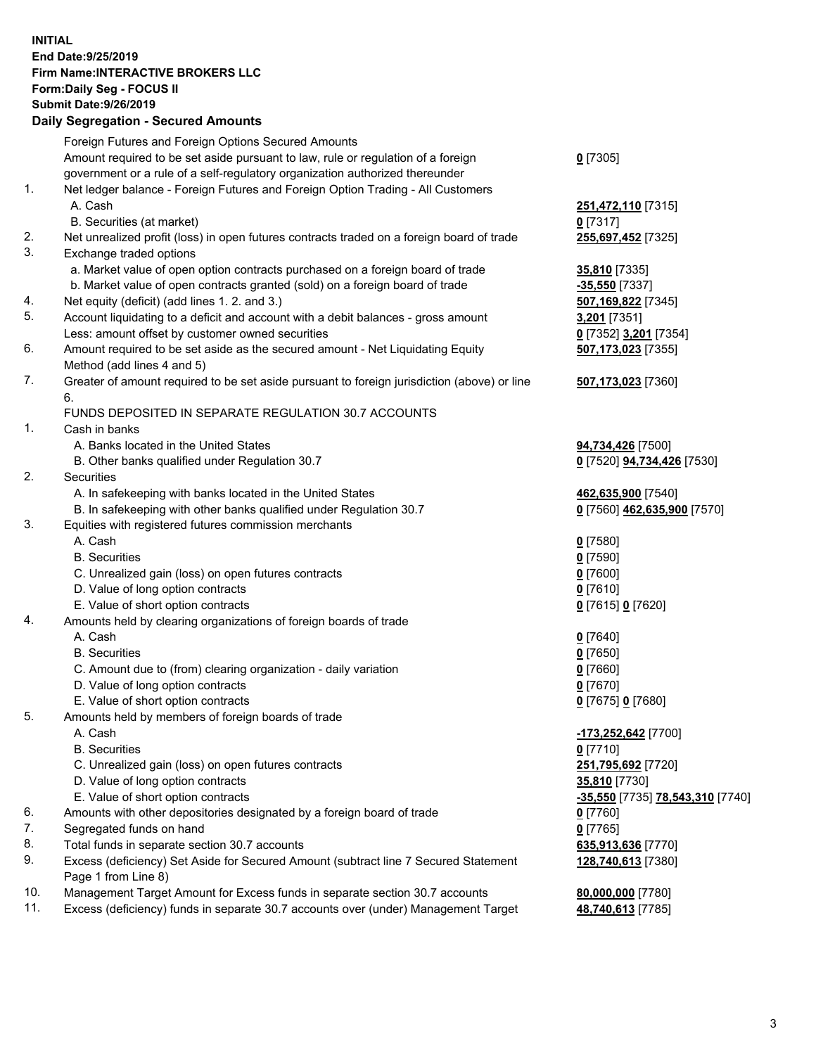## **INITIAL End Date:9/25/2019 Firm Name:INTERACTIVE BROKERS LLC Form:Daily Seg - FOCUS II Submit Date:9/26/2019 Daily Segregation - Secured Amounts**

|     | Daily Segregation - Secured Amounts                                                         |                                         |
|-----|---------------------------------------------------------------------------------------------|-----------------------------------------|
|     | Foreign Futures and Foreign Options Secured Amounts                                         |                                         |
|     | Amount required to be set aside pursuant to law, rule or regulation of a foreign            | $0$ [7305]                              |
|     | government or a rule of a self-regulatory organization authorized thereunder                |                                         |
| 1.  | Net ledger balance - Foreign Futures and Foreign Option Trading - All Customers             |                                         |
|     | A. Cash                                                                                     | 251,472,110 [7315]                      |
|     | B. Securities (at market)                                                                   | $0$ [7317]                              |
| 2.  | Net unrealized profit (loss) in open futures contracts traded on a foreign board of trade   | 255,697,452 [7325]                      |
| 3.  | Exchange traded options                                                                     |                                         |
|     | a. Market value of open option contracts purchased on a foreign board of trade              | <b>35,810</b> [7335]                    |
|     | b. Market value of open contracts granted (sold) on a foreign board of trade                | -35,550 [7337]                          |
| 4.  | Net equity (deficit) (add lines 1. 2. and 3.)                                               | 507,169,822 [7345]                      |
| 5.  | Account liquidating to a deficit and account with a debit balances - gross amount           | 3,201 [7351]                            |
|     | Less: amount offset by customer owned securities                                            | 0 [7352] 3,201 [7354]                   |
| 6.  | Amount required to be set aside as the secured amount - Net Liquidating Equity              | 507,173,023 [7355]                      |
|     | Method (add lines 4 and 5)                                                                  |                                         |
| 7.  | Greater of amount required to be set aside pursuant to foreign jurisdiction (above) or line | 507,173,023 [7360]                      |
|     | 6.                                                                                          |                                         |
|     | FUNDS DEPOSITED IN SEPARATE REGULATION 30.7 ACCOUNTS                                        |                                         |
| 1.  | Cash in banks                                                                               |                                         |
|     | A. Banks located in the United States                                                       | 94,734,426 [7500]                       |
|     | B. Other banks qualified under Regulation 30.7                                              | 0 [7520] 94,734,426 [7530]              |
| 2.  | Securities                                                                                  |                                         |
|     | A. In safekeeping with banks located in the United States                                   | 462,635,900 [7540]                      |
| 3.  | B. In safekeeping with other banks qualified under Regulation 30.7                          | 0 [7560] 462,635,900 [7570]             |
|     | Equities with registered futures commission merchants<br>A. Cash                            |                                         |
|     | <b>B.</b> Securities                                                                        | $0$ [7580]                              |
|     |                                                                                             | $0$ [7590]                              |
|     | C. Unrealized gain (loss) on open futures contracts<br>D. Value of long option contracts    | $0$ [7600]<br>$0$ [7610]                |
|     | E. Value of short option contracts                                                          | 0 [7615] 0 [7620]                       |
| 4.  | Amounts held by clearing organizations of foreign boards of trade                           |                                         |
|     | A. Cash                                                                                     | $0$ [7640]                              |
|     | <b>B.</b> Securities                                                                        | $0$ [7650]                              |
|     | C. Amount due to (from) clearing organization - daily variation                             | $0$ [7660]                              |
|     | D. Value of long option contracts                                                           | $0$ [7670]                              |
|     | E. Value of short option contracts                                                          | 0 [7675] 0 [7680]                       |
| 5.  | Amounts held by members of foreign boards of trade                                          |                                         |
|     | A. Cash                                                                                     | -173,252,642 [7700]                     |
|     | <b>B.</b> Securities                                                                        | $0$ [7710]                              |
|     | C. Unrealized gain (loss) on open futures contracts                                         | 251,795,692 [7720]                      |
|     | D. Value of long option contracts                                                           | 35,810 [7730]                           |
|     | E. Value of short option contracts                                                          | <u>-35,550</u> [7735] 78,543,310 [7740] |
| 6.  | Amounts with other depositories designated by a foreign board of trade                      | $0$ [7760]                              |
| 7.  | Segregated funds on hand                                                                    | $0$ [7765]                              |
| 8.  | Total funds in separate section 30.7 accounts                                               | 635,913,636 [7770]                      |
| 9.  | Excess (deficiency) Set Aside for Secured Amount (subtract line 7 Secured Statement         | 128,740,613 [7380]                      |
|     | Page 1 from Line 8)                                                                         |                                         |
| 10. | Management Target Amount for Excess funds in separate section 30.7 accounts                 | 80,000,000 [7780]                       |
| 11. | Excess (deficiency) funds in separate 30.7 accounts over (under) Management Target          | 48,740,613 [7785]                       |
|     |                                                                                             |                                         |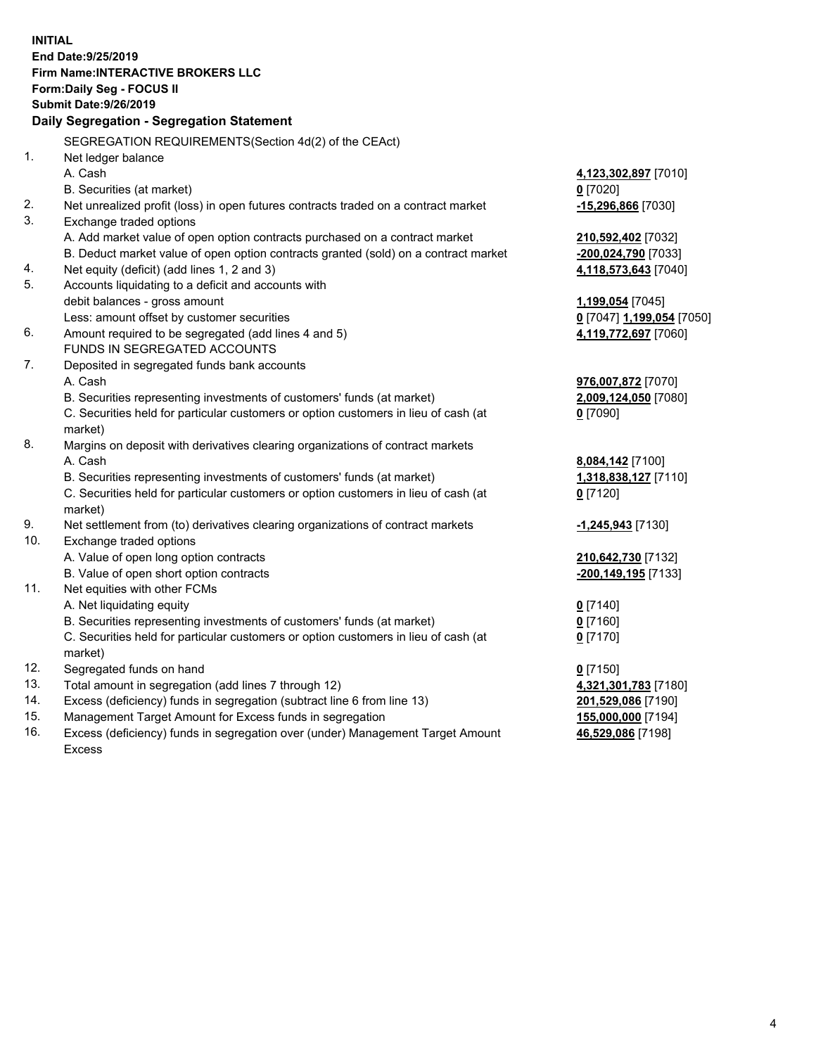**INITIAL End Date:9/25/2019 Firm Name:INTERACTIVE BROKERS LLC Form:Daily Seg - FOCUS II Submit Date:9/26/2019 Daily Segregation - Segregation Statement** SEGREGATION REQUIREMENTS(Section 4d(2) of the CEAct) 1. Net ledger balance A. Cash **4,123,302,897** [7010] B. Securities (at market) **0** [7020] 2. Net unrealized profit (loss) in open futures contracts traded on a contract market **-15,296,866** [7030] 3. Exchange traded options A. Add market value of open option contracts purchased on a contract market **210,592,402** [7032] B. Deduct market value of open option contracts granted (sold) on a contract market **-200,024,790** [7033] 4. Net equity (deficit) (add lines 1, 2 and 3) **4,118,573,643** [7040] 5. Accounts liquidating to a deficit and accounts with debit balances - gross amount **1,199,054** [7045] Less: amount offset by customer securities **0** [7047] **1,199,054** [7050] 6. Amount required to be segregated (add lines 4 and 5) **4,119,772,697** [7060] FUNDS IN SEGREGATED ACCOUNTS 7. Deposited in segregated funds bank accounts A. Cash **976,007,872** [7070] B. Securities representing investments of customers' funds (at market) **2,009,124,050** [7080] C. Securities held for particular customers or option customers in lieu of cash (at market) **0** [7090] 8. Margins on deposit with derivatives clearing organizations of contract markets A. Cash **8,084,142** [7100] B. Securities representing investments of customers' funds (at market) **1,318,838,127** [7110] C. Securities held for particular customers or option customers in lieu of cash (at market) **0** [7120] 9. Net settlement from (to) derivatives clearing organizations of contract markets **-1,245,943** [7130] 10. Exchange traded options A. Value of open long option contracts **210,642,730** [7132] B. Value of open short option contracts **-200,149,195** [7133] 11. Net equities with other FCMs A. Net liquidating equity **0** [7140] B. Securities representing investments of customers' funds (at market) **0** [7160] C. Securities held for particular customers or option customers in lieu of cash (at market) **0** [7170] 12. Segregated funds on hand **0** [7150] 13. Total amount in segregation (add lines 7 through 12) **4,321,301,783** [7180] 14. Excess (deficiency) funds in segregation (subtract line 6 from line 13) **201,529,086** [7190] 15. Management Target Amount for Excess funds in segregation **155,000,000** [7194]

16. Excess (deficiency) funds in segregation over (under) Management Target Amount Excess

**46,529,086** [7198]